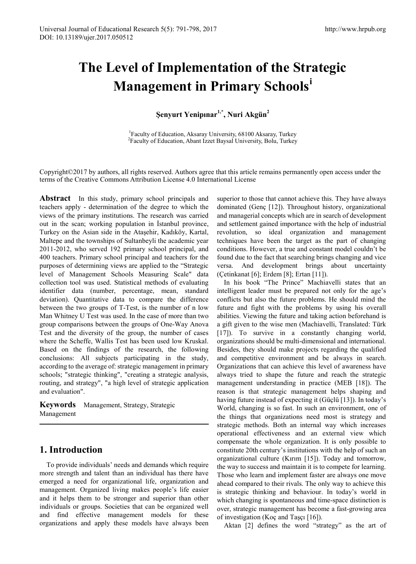# **The Level of Implementation of the Strategic Management in Primary Schools[i](#page-7-0)**

**Şenyurt Yenipınar1,\*, Nuri Akgün<sup>2</sup>**

<sup>1</sup> Faculty of Education, Aksaray University, 68100 Aksaray, Turkey Faculty of Education, Abant Izzet Baysal University, Bolu, Turkey

Copyright©2017 by authors, all rights reserved. Authors agree that this article remains permanently open access under the terms of the Creative Commons Attribution License 4.0 International License

Abstract In this study, primary school principals and teachers apply - determination of the degree to which the views of the primary institutions. The research was carried out in the scan; working population in İstanbul province, Turkey on the Asian side in the Ataşehir, Kadıköy, Kartal, Maltepe and the townships of Sultanbeyli the academic year 2011-2012, who served 192 primary school principal, and 400 teachers. Primary school principal and teachers for the purposes of determining views are applied to the "Strategic level of Management Schools Measuring Scale" data collection tool was used. Statistical methods of evaluating identifier data (number, percentage, mean, standard deviation). Quantitative data to compare the difference between the two groups of T-Test, is the number of n low Man Whitney U Test was used. In the case of more than two group comparisons between the groups of One-Way Anova Test and the diversity of the group, the number of cases where the Scheffe, Wallis Test has been used low Kruskal. Based on the findings of the research, the following conclusions: All subjects participating in the study, according to the average of: strategic management in primary schools; "strategic thinking", "creating a strategic analysis, routing, and strategy", "a high level of strategic application and evaluation".

**Keywords** Management, Strategy, Strategic Management

# **1. Introduction**

To provide individuals' needs and demands which require more strength and talent than an individual has there have emerged a need for organizational life, organization and management. Organized living makes people's life easier and it helps them to be stronger and superior than other individuals or groups. Societies that can be organized well and find effective management models for these organizations and apply these models have always been superior to those that cannot achieve this. They have always dominated (Genç [12]). Throughout history, organizational and managerial concepts which are in search of development and settlement gained importance with the help of industrial revolution, so ideal organization and management techniques have been the target as the part of changing conditions. However, a true and constant model couldn't be found due to the fact that searching brings changing and vice versa. And development brings about uncertainty (Çetinkanat [6]; Erdem [8]; Ertan [11]).

In his book "The Prince" Machiavelli states that an intelligent leader must be prepared not only for the age's conflicts but also the future problems. He should mind the future and fight with the problems by using his overall abilities. Viewing the future and taking action beforehand is a gift given to the wise men (Machiavelli, Translated: Türk [17]). To survive in a constantly changing world, organizations should be multi-dimensional and international. Besides, they should make projects regarding the qualified and competitive environment and be always in search. Organizations that can achieve this level of awareness have always tried to shape the future and reach the strategic management understanding in practice (MEB [18]). The reason is that strategic management helps shaping and having future instead of expecting it (Güçlü [13]). In today's World, changing is so fast. In such an environment, one of the things that organizations need most is strategy and strategic methods. Both an internal way which increases operational effectiveness and an external view which compensate the whole organization. It is only possible to constitute 20th century's institutions with the help of such an organizational culture (Kırım [15]). Today and tomorrow, the way to success and maintain it is to compete for learning. Those who learn and implement faster are always one move ahead compared to their rivals. The only way to achieve this is strategic thinking and behaviour. In today's world in which changing is spontaneous and time-space distinction is over, strategic management has become a fast-growing area of investigation (Koç and Taşçı [16]).

Aktan [2] defines the word "strategy" as the art of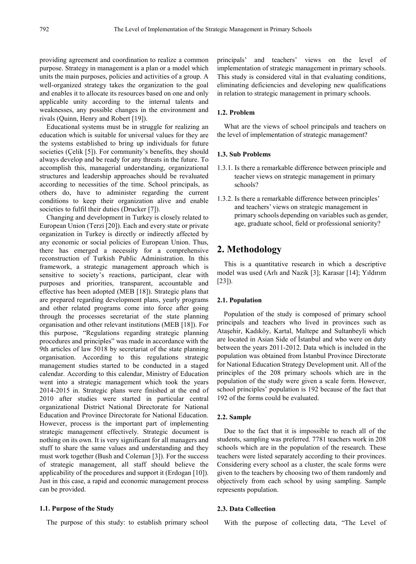providing agreement and coordination to realize a common purpose. Strategy in management is a plan or a model which units the main purposes, policies and activities of a group. A well-organized strategy takes the organization to the goal and enables it to allocate its resources based on one and only applicable unity according to the internal talents and weaknesses, any possible changes in the environment and rivals (Quinn, Henry and Robert [19]).

Educational systems must be in struggle for realizing an education which is suitable for universal values for they are the systems established to bring up individuals for future societies (Çelik [5]). For community's benefits, they should always develop and be ready for any threats in the future. To accomplish this, managerial understanding, organizational structures and leadership approaches should be revaluated according to necessities of the time. School principals, as others do, have to administer regarding the current conditions to keep their organization alive and enable societies to fulfil their duties (Drucker [7]).

Changing and development in Turkey is closely related to European Union (Terzi [20]). Each and every state or private organization in Turkey is directly or indirectly affected by any economic or social policies of European Union. Thus, there has emerged a necessity for a comprehensive reconstruction of Turkish Public Administration. In this framework, a strategic management approach which is sensitive to society's reactions, participant, clear with purposes and priorities, transparent, accountable and effective has been adopted (MEB [18]). Strategic plans that are prepared regarding development plans, yearly programs and other related programs come into force after going through the processes secretariat of the state planning organisation and other relevant institutions (MEB [18]). For this purpose, "Regulations regarding strategic planning procedures and principles" was made in accordance with the 9th articles of law 5018 by secretariat of the state planning organisation. According to this regulations strategic management studies started to be conducted in a staged calendar. According to this calendar, Ministry of Education went into a strategic management which took the years 2014-2015 in. Strategic plans were finished at the end of 2010 after studies were started in particular central organizational District National Directorate for National Education and Province Directorate for National Education. However, process is the important part of implementing strategic management effectively. Strategic document is nothing on its own. It is very significant for all managers and stuff to share the same values and understanding and they must work together (Bush and Coleman [3]). For the success of strategic management, all staff should believe the applicability of the procedures and support it (Erdogan [10]). Just in this case, a rapid and economic management process can be provided.

#### **1.1. Purpose of the Study**

The purpose of this study: to establish primary school

principals' and teachers' views on the level of implementation of strategic management in primary schools. This study is considered vital in that evaluating conditions, eliminating deficiencies and developing new qualifications in relation to strategic management in primary schools.

#### **1.2. Problem**

What are the views of school principals and teachers on the level of implementation of strategic management?

#### **1.3. Sub Problems**

- 1.3.1. Is there a remarkable difference between principle and teacher views on strategic management in primary schools?
- 1.3.2. Is there a remarkable difference between principles' and teachers' views on strategic management in primary schools depending on variables such as gender, age, graduate school, field or professional seniority?

# **2. Methodology**

This is a quantitative research in which a descriptive model was used (Arlı and Nazik [3]; Karasar [14]; Yıldırım [23]).

#### **2.1. Population**

Population of the study is composed of primary school principals and teachers who lived in provinces such as Ataşehir, Kadıköy, Kartal, Maltepe and Sultanbeyli which are located in Asian Side of İstanbul and who were on duty between the years 2011-2012. Data which is included in the population was obtained from İstanbul Province Directorate for National Education Strategy Development unit. All of the principles of the 208 primary schools which are in the population of the study were given a scale form. However, school principles' population is 192 because of the fact that 192 of the forms could be evaluated.

#### **2.2. Sample**

Due to the fact that it is impossible to reach all of the students, sampling was preferred. 7781 teachers work in 208 schools which are in the population of the research. These teachers were listed separately according to their provinces. Considering every school as a cluster, the scale forms were given to the teachers by choosing two of them randomly and objectively from each school by using sampling. Sample represents population.

#### **2.3. Data Collection**

With the purpose of collecting data, "The Level of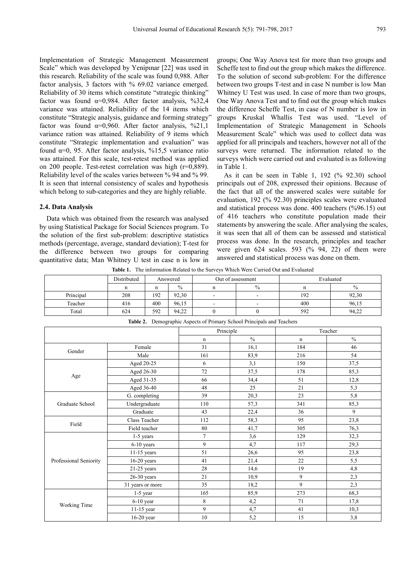Implementation of Strategic Management Measurement Scale" which was developed by Yenipınar [22] was used in this research. Reliability of the scale was found 0,988. After factor analysis, 3 factors with % 69.02 variance emerged. Reliability of 30 items which constitute "strategic thinking" factor was found  $\alpha=0.984$ . After factor analysis, %32,4 variance was attained. Reliability of the 14 items which constitute "Strategic analysis, guidance and forming strategy" factor was found  $\alpha=0.960$ . After factor analysis, %21,1 variance ration was attained. Reliability of 9 items which constitute "Strategic implementation and evaluation" was found  $\alpha=0$ , 95. After factor analysis, %15.5 variance ratio was attained. For this scale, test-retest method was applied on 200 people. Test-retest correlation was high (r=0,889). Reliability level of the scales varies between % 94 and % 99. It is seen that internal consistency of scales and hypothesis which belong to sub-categories and they are highly reliable.

#### **2.4. Data Analysis**

Data which was obtained from the research was analysed by using Statistical Package for Social Sciences program. To the solution of the first sub-problem: descriptive statistics methods (percentage, average, standard deviation); T-test for the difference between two groups for comparing quantitative data; Man Whitney U test in case n is low in

groups; One Way Anova test for more than two groups and Scheffe test to find out the group which makes the difference. To the solution of second sub-problem: For the difference between two groups T-test and in case N number is low Man Whitney U Test was used. In case of more than two groups, One Way Anova Test and to find out the group which makes the difference Scheffe Test, in case of N number is low in groups Kruskal Whallis Test was used. "Level of Implementation of Strategic Management in Schools Measurement Scale" which was used to collect data was applied for all principals and teachers, however not all of the surveys were returned. The information related to the surveys which were carried out and evaluated is as following in Table 1.

As it can be seen in Table 1, 192 (% 92.30) school principals out of 208, expressed their opinions. Because of the fact that all of the answered scales were suitable for evaluation, 192 (% 92.30) principles scales were evaluated and statistical process was done. 400 teachers (%96.15) out of 416 teachers who constitute population made their statements by answering the scale. After analysing the scales, it was seen that all of them can be assessed and statistical process was done. In the research, principles and teacher were given 624 scales. 593 (% 94, 22) of them were answered and statistical process was done on them.

**Table 1.** The information Related to the Surveys Which Were Carried Out and Evaluated

|           | Distributed |     | Answered |                          | Out of assessment        | Evaluated |               |  |
|-----------|-------------|-----|----------|--------------------------|--------------------------|-----------|---------------|--|
|           | n           |     | $\%$     |                          | $\%$                     |           | $\frac{0}{0}$ |  |
| Principal | 208         | 192 | 92,30    | $\overline{\phantom{0}}$ | $\overline{\phantom{a}}$ | 192       | 92,30         |  |
| Teacher   | 416         | 400 | 96.15    | $\overline{\phantom{0}}$ | $\overline{\phantom{0}}$ | 400       | 96,15         |  |
| Total     | 624         | 592 | 94,22    |                          |                          | 592       | 94,22         |  |

|                        |                  | Principle      |               |             | Teacher       |
|------------------------|------------------|----------------|---------------|-------------|---------------|
|                        |                  | n              | $\frac{0}{0}$ | $\mathbf n$ | $\frac{0}{0}$ |
|                        | Female           | 31             | 16,1          | 184         | 46            |
| Gender                 | Male             | 161            | 83,9          | 216         | 54            |
|                        | Aged 20-25       | 6              | 3,1           | 150         | 37,5          |
|                        | Aged 26-30       | 72             | 37,5          | 178         | 85,3          |
| Age                    | Aged 31-35       | 66             | 34,4          | 51          | 12,8          |
|                        | Aged 36-40       | 48             | 25            | 21          | 5,3           |
|                        | G. completing    | 39             | 20,3          | 23          | 5,8           |
| Graduate School        | Undergraduate    | 110            | 57,3          | 341         | 85,3          |
|                        | Graduate         | 43             | 22,4          | 36          | 9             |
| Field                  | Class Teacher    | 112            | 58,3          | 95          | 23,8          |
|                        | Field teacher    | 80             | 41,7          | 305         | 76,3          |
|                        | $1-5$ years      | $\overline{7}$ | 3,6           | 129         | 32,3          |
|                        | 6-10 years       | 9              | 4,7           | 117         | 29,3          |
|                        | 11-15 years      | 51             | 26,6          | 95          | 23,8          |
| Professional Seniority | $16-20$ years    | 41             | 21,4          | 22          | 5,5           |
|                        | 21-25 years      | 28             | 14,6          | 19          | 4,8           |
|                        | $26-30$ years    | 21             | 10,9          | 9           | 2,3           |
|                        | 31 years or more | 35             | 18,2          | 9           | 2,3           |
|                        | $1-5$ year       | 165            | 85,9          | 273         | 68,3          |
|                        | $6-10$ year      | 8              | 4,2           | 71          | 17,8          |
| Working Time           | 11-15 year       | 9              | 4,7           | 41          | 10,3          |
|                        | 16-20 year       | 10             | 5,2           | 15          | 3,8           |

**Table 2.** Demographic Aspects of Primary School Principals and Teachers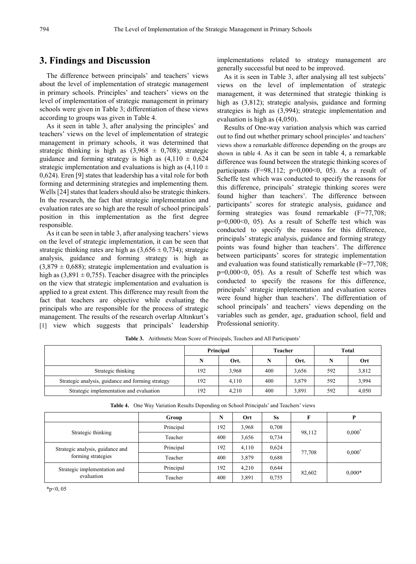### **3. Findings and Discussion**

The difference between principals' and teachers' views about the level of implementation of strategic management in primary schools. Principles' and teachers' views on the level of implementation of strategic management in primary schools were given in Table 3; differentiation of these views according to groups was given in Table 4.

As it seen in table 3, after analysing the principles' and teachers' views on the level of implementation of strategic management in primary schools, it was determined that strategic thinking is high as  $(3,968 \pm 0,708)$ ; strategic guidance and forming strategy is high as  $(4,110 \pm 0.624)$ strategic implementation and evaluations is high as  $(4.110 \pm$ 0,624). Eren [9] states that leadership has a vital role for both forming and determining strategies and implementing them. Wells [24] states that leaders should also be strategic thinkers. In the research, the fact that strategic implementation and evaluation rates are so high are the result of school principals' position in this implementation as the first degree responsible.

As it can be seen in table 3, after analysing teachers' views on the level of strategic implementation, it can be seen that strategic thinking rates are high as  $(3,656 \pm 0,734)$ ; strategic analysis, guidance and forming strategy is high as  $(3,879 \pm 0.688)$ ; strategic implementation and evaluation is high as  $(3,891 \pm 0,755)$ . Teacher disagree with the principles on the view that strategic implementation and evaluation is applied to a great extent. This difference may result from the fact that teachers are objective while evaluating the principals who are responsible for the process of strategic management. The results of the research overlap Altınkurt's [1] view which suggests that principals' leadership

implementations related to strategy management are generally successful but need to be improved.

As it is seen in Table 3, after analysing all test subjects' views on the level of implementation of strategic management, it was determined that strategic thinking is high as (3,812); strategic analysis, guidance and forming strategies is high as (3,994); strategic implementation and evaluation is high as (4,050).

Results of One-way variation analysis which was carried out to find out whether primary school principles' and teachers' views show a remarkable difference depending on the groups are shown in table 4. As it can be seen in table 4, a remarkable difference was found between the strategic thinking scores of participants (F=98,112;  $p=0,000<0, 05$ ). As a result of Scheffe test which was conducted to specify the reasons for this difference, principals' strategic thinking scores were found higher than teachers'. The difference between participants' scores for strategic analysis, guidance and forming strategies was found remarkable (F=77,708; p=0,000<0, 05). As a result of Scheffe test which was conducted to specify the reasons for this difference, principals' strategic analysis, guidance and forming strategy points was found higher than teachers'. The difference between participants' scores for strategic implementation and evaluation was found statistically remarkable (F=77,708;  $p=0.000<0$ , 05). As a result of Scheffe test which was conducted to specify the reasons for this difference, principals' strategic implementation and evaluation scores were found higher than teachers'. The differentiation of school principals' and teachers' views depending on the variables such as gender, age, graduation school, field and Professional seniority.

|                                                   |     | Principal | Teacher |       | Total |       |  |
|---------------------------------------------------|-----|-----------|---------|-------|-------|-------|--|
|                                                   |     | Ort.      | N       | Ort.  | N     | Ort   |  |
| Strategic thinking                                | 192 | 3,968     | 400     | 3,656 | 592   | 3,812 |  |
| Strategic analysis, guidance and forming strategy | 192 | 4.110     | 400     | 3,879 | 592   | 3,994 |  |
| Strategic implementation and evaluation           | 192 | 4.210     | 400     | 3,891 | 592   | 4,050 |  |

**Table 3.** Arithmetic Mean Score of Principals, Teachers and All Participants'

|  |  | Table 4. One Way Variation Results Depending on School Principals' and Teachers' views |  |  |  |
|--|--|----------------------------------------------------------------------------------------|--|--|--|
|--|--|----------------------------------------------------------------------------------------|--|--|--|

|                                  | Group     | N   | Ort   | <b>Ss</b> | F      | Þ               |  |
|----------------------------------|-----------|-----|-------|-----------|--------|-----------------|--|
|                                  | Principal | 192 | 3,968 | 0,708     |        | $0,000^{\circ}$ |  |
| Strategic thinking               | Teacher   | 400 | 3,656 | 0,734     | 98,112 |                 |  |
| Strategic analysis, guidance and | Principal | 192 | 4,110 | 0,624     |        | $0,000^{\circ}$ |  |
| forming strategies               | Teacher   | 400 | 3,879 | 0,688     | 77,708 |                 |  |
| Strategic implementation and     | Principal | 192 | 4.210 | 0,644     |        |                 |  |
| evaluation                       | Teacher   | 400 | 3,891 | 0,755     | 82,602 | $0.000*$        |  |

 $*p<0, 05$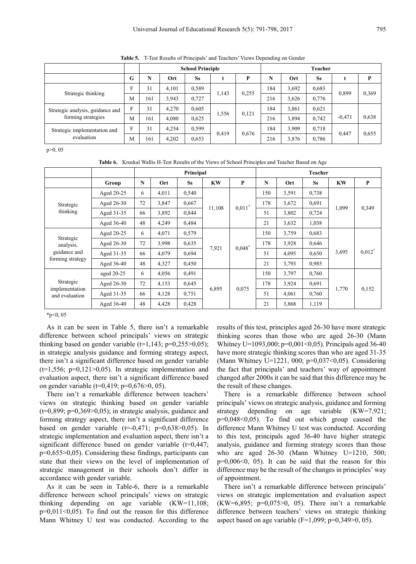**Table 5.** T-Test Results of Principals' and Teachers' Views Depending on Gender

|                                            |   |     |       | <b>School Principle</b> |       |       |     |       | Teacher   |          |       |
|--------------------------------------------|---|-----|-------|-------------------------|-------|-------|-----|-------|-----------|----------|-------|
|                                            | G | N   | Ort   | <b>Ss</b>               |       | P     | N   | Ort   | <b>Ss</b> |          | P     |
| Strategic thinking                         | F | 31  | 4,101 | 0,589                   |       | 0.255 | 184 | 3,692 | 0.683     | 0,899    |       |
|                                            | M | 161 | 3,943 | 0,727                   | 1,143 |       | 216 | 3,626 | 0,776     |          | 0.369 |
| Strategic analysis, guidance and           | F | 31  | 4.270 | 0,605                   |       | 0,121 | 184 | 3,861 | 0,621     |          |       |
| forming strategies                         | M | 161 | 4,080 | 0,625                   | 1,556 |       | 216 | 3,894 | 0.742     | $-0.471$ | 0.638 |
| Strategic implementation and<br>evaluation | F | 31  | 4.254 | 0,599                   |       |       | 184 | 3,909 | 0,718     |          |       |
|                                            | M | 161 | 4,202 | 0.653                   | 0.419 | 0,676 | 216 | 3,876 | 0,786     | 0.447    | 0.655 |

p>0, 05

**Table 6.** Kruskal Wallis H-Test Results of the Views of School Principles and Teacher Based on Age

|                                  |            |             |       | Principal |           |           |     |       | <b>Teacher</b> |           |                      |
|----------------------------------|------------|-------------|-------|-----------|-----------|-----------|-----|-------|----------------|-----------|----------------------|
|                                  | Group      | $\mathbf N$ | Ort   | <b>Ss</b> | <b>KW</b> | P         | N   | Ort   | <b>Ss</b>      | <b>KW</b> | P                    |
|                                  | Aged 20-25 | 6           | 4,011 | 0,540     |           |           | 150 | 3,591 | 0,738          |           |                      |
| Strategic                        | Aged 26-30 | 72          | 3,847 | 0,667     | 11,108    | $0,011^*$ | 178 | 3,672 | 0.691          | 1,099     | 0,349                |
| thinking                         | Aged 31-35 | 66          | 3,892 | 0,844     |           |           | 51  | 3,802 | 0,724          |           |                      |
|                                  | Aged 36-40 | 48          | 4,249 | 0,484     |           |           | 21  | 3,632 | 1,038          |           |                      |
| Strategic                        | Aged 20-25 | 6           | 4,071 | 0,579     |           | $0,048$ * | 150 | 3,759 | 0,683          |           |                      |
| analysis,                        | Aged 26-30 | 72          | 3,998 | 0,635     |           |           | 178 | 3,928 | 0,646          | 3,695     | $0,012$ <sup>*</sup> |
| guidance and                     | Aged 31-35 | 66          | 4,079 | 0,694     | 7,921     |           | 51  | 4,095 | 0,650          |           |                      |
| forming strategy                 | Aged 36-40 | 48          | 4,327 | 0,450     |           |           | 21  | 3,793 | 0,985          |           |                      |
|                                  | aged 20-25 | 6           | 4,056 | 0,491     |           |           | 150 | 3,797 | 0,760          |           |                      |
| Strategic                        | Aged 26-30 | 72          | 4,153 | 0,645     |           |           | 178 | 3,924 | 0,691          | 1,770     |                      |
| implementation<br>and evaluation | Aged 31-35 | 66          | 4,128 | 0,751     | 6,895     | 0,075     | 51  | 4,061 | 0,760          |           | 0,152                |
|                                  | Aged 36-40 | 48          | 4,428 | 0,428     |           |           | 21  | 3,868 | 1,119          |           |                      |

\*p<0, 05

As it can be seen in Table 5, there isn't a remarkable difference between school principals' views on strategic thinking based on gender variable  $(t=1,143; p=0.255>0.05)$ ; in strategic analysis guidance and forming strategy aspect, there isn't a significant difference based on gender variable  $(t=1,556; p=0,121>0,05)$ . In strategic implementation and evaluation aspect, there isn't a significant difference based on gender variable (t=0,419; p=0,676>0, 05).

There isn't a remarkable difference between teachers' views on strategic thinking based on gender variable  $(t=0.899; p=0.369>0.05)$ ; in strategic analysis, guidance and forming strategy aspect, there isn't a significant difference based on gender variable  $(t=0.471; p=0.638>0.05)$ . In strategic implementation and evaluation aspect, there isn't a significant difference based on gender variable  $(t=0.447)$ ; p=0,655>0,05). Considering these findings, participants can state that their views on the level of implementation of strategic management in their schools don't differ in accordance with gender variable.

As it can be seen in Table-6, there is a remarkable difference between school principals' views on strategic thinking depending on age variable (KW=11,108;  $p=0.011<0.05$ ). To find out the reason for this difference Mann Whitney U test was conducted. According to the results of this test, principles aged 26-30 have more strategic thinking scores than those who are aged 26-30 (Mann Whitney U=1093,000; p=0,001<0,05). Principals aged 36-40 have more strategic thinking scores than who are aged 31-35 (Mann Whitney U=1221, 000; p=0,037<0,05). Considering the fact that principals' and teachers' way of appointment changed after 2000s it can be said that this difference may be the result of these changes.

There is a remarkable difference between school principals' views on strategic analysis, guidance and forming strategy depending on age variable (KW=7,921;  $p=0.048<0.05$ . To find out which group caused the difference Mann Whitney U test was conducted. According to this test, principals aged 36-40 have higher strategic analysis, guidance and forming strategy scores than those who are aged 26-30 (Mann Whitney U=1210, 500;  $p=0,006<0, 05$ ). It can be said that the reason for this difference may be the result of the changes in principles' way of appointment.

There isn't a remarkable difference between principals' views on strategic implementation and evaluation aspect  $(KW=6,895; p=0,075>0, 05)$ . There isn't a remarkable difference between teachers' views on strategic thinking aspect based on age variable ( $F=1,099$ ;  $p=0,349>0,05$ ).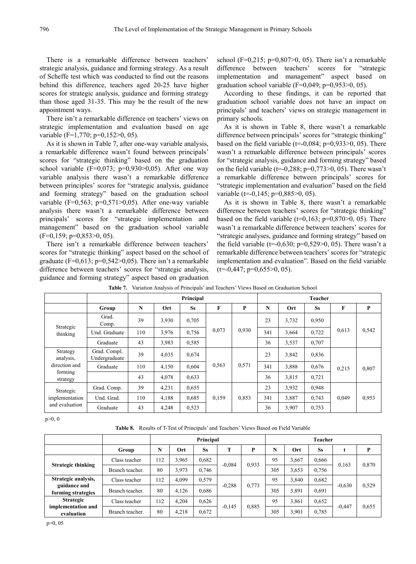There is a remarkable difference between teachers' strategic analysis, guidance and forming strategy. As a result of Scheffe test which was conducted to find out the reasons behind this difference, teachers aged 20-25 have higher scores for strategic analysis, guidance and forming strategy than those aged 31-35. This may be the result of the new appointment ways.

There isn't a remarkable difference on teachers' views on strategic implementation and evaluation based on age variable (F=1,770; p=0,152>0, 05).

As it is shown in Table 7, after one-way variable analysis, a remarkable difference wasn't found between principals' scores for "strategic thinking" based on the graduation school variable  $(F=0.073; p=0.930>0.05)$ . After one way variable analysis there wasn't a remarkable difference between principles' scores for "strategic analysis, guidance and forming strategy" based on the graduation school variable (F=0,563; p=0,571>0,05). After one-way variable analysis there wasn't a remarkable difference between principals' scores for "strategic implementation and management" based on the graduation school variable  $(F=0,159; p=0,853>0, 05)$ .

There isn't a remarkable difference between teachers' scores for "strategic thinking" aspect based on the school of graduate (F=0,613; p=0,542 $>$ 0,05). There isn't a remarkable difference between teachers' scores for "strategic analysis, guidance and forming strategy" aspect based on graduation

school (F=0,215; p=0,807 $>0$ , 05). There isn't a remarkable difference between teachers' scores for "strategic implementation and management" aspect based on graduation school variable ( $F=0.049$ ;  $p=0.953>0$ , 05).

According to these findings, it can be reported that graduation school variable does not have an impact on principals' and teachers' views on strategic management in primary schools.

As it is shown in Table 8, there wasn't a remarkable difference between principals' scores for "strategic thinking" based on the field variable ( $t=0.084$ ;  $p=0.933>0$ , 05). There wasn't a remarkable difference between principals' scores for "strategic analysis, guidance and forming strategy" based on the field variable ( $t=0.288$ ;  $p=0.773>0$ , 05). There wasn't a remarkable difference between principals' scores for "strategic implementation and evaluation" based on the field variable (t=-0,145; p=0,885>0, 05).

As it is shown in Table 8, there wasn't a remarkable difference between teachers' scores for "strategic thinking" based on the field variable  $(t=0.163; p=0.870>0, 05)$ . There wasn't a remarkable difference between teachers' scores for "strategic analyses, guidance and forming strategy" based on the field variable ( $t=0.630$ ;  $p=0.529>0$ , 05). There wasn't a remarkable difference between teachers' scores for "strategic implementation and evaluation". Based on the field variable  $(t=0,447; p=0,655>0, 05)$ .

|                       |                               |     |       | Principal |       |       |     |       | <b>Teacher</b> |       |       |
|-----------------------|-------------------------------|-----|-------|-----------|-------|-------|-----|-------|----------------|-------|-------|
|                       | Group                         | N   | Ort   | <b>Ss</b> | F     | P     | N   | Ort   | <b>Ss</b>      | F     | P     |
| Strategic             | Grad.<br>Comp.                | 39  | 3,930 | 0,705     |       | 0,930 | 23  | 3,732 | 0.950          |       |       |
| thinking              | Und. Graduate                 | 110 | 3,976 | 0,756     | 0,073 |       | 341 | 3,664 | 0,722          | 0,613 | 0,542 |
|                       | Graduate                      | 43  | 3,983 | 0,585     |       |       | 36  | 3,537 | 0,707          |       |       |
| Strategy<br>analysis, | Grad. Compl.<br>Undergraduate | 39  | 4,035 | 0,674     |       |       | 23  | 3,842 | 0,836          |       |       |
| direction and         | Graduate                      | 110 | 4,150 | 0,604     | 0.563 | 0.571 | 341 | 3,888 | 0.676          | 0.215 | 0,807 |
| forming<br>strategy   |                               | 43  | 4,078 | 0.633     |       |       | 36  | 3,815 | 0,721          |       |       |
| Strategic             | Grad. Comp.                   | 39  | 4,231 | 0,655     |       |       | 23  | 3,932 | 0,948          |       |       |
| implementation        | Und. Grad.                    | 110 | 4,188 | 0,685     | 0,159 | 0,853 | 341 | 3,887 | 0.743          | 0,049 | 0.953 |
| and evaluation        | Graduate                      | 43  | 4,248 | 0,523     |       |       | 36  | 3,907 | 0.753          |       |       |

p>0, 0

| <b>Table 8.</b> Results of T-Test of Principals' and Teachers' Views Based on Field Variable |
|----------------------------------------------------------------------------------------------|
|----------------------------------------------------------------------------------------------|

|                                    |                 |     |       | Principal |          |                   | Teacher |       |           |          |       |  |
|------------------------------------|-----------------|-----|-------|-----------|----------|-------------------|---------|-------|-----------|----------|-------|--|
|                                    | Group           | N   | Ort   | <b>Ss</b> | m        | P                 | N       | Ort   | <b>Ss</b> |          | P     |  |
| Strategic thinking                 | Class teacher   | 112 | 3,965 | 0,682     |          |                   | 95      | 3,667 | 0,666     |          | 0,870 |  |
|                                    | Branch teacher. | 80  | 3,973 | 0.746     | $-0.084$ | 0.933             | 305     | 3,653 | 0,756     | 0,163    |       |  |
| Strategic analysis,                | Class teacher   | 112 | 4,099 | 0,579     |          |                   | 95      | 3,840 | 0,682     |          |       |  |
| guidance and<br>forming strategies | Branch teacher. | 80  | 4,126 | 0,686     |          | $-0.288$<br>0,773 | 305     | 3,891 | 0.691     | $-0.630$ | 0.529 |  |
| <b>Strategic</b>                   | Class teacher   | 112 | 4.204 | 0,626     |          |                   | 95      | 3,861 | 0,652     |          |       |  |
| implementation and<br>evaluation   | Branch teacher. | 80  | 4,218 | 0,672     | $-0,145$ | 0.885             | 305     | 3.901 | 0.785     | $-0.447$ | 0.655 |  |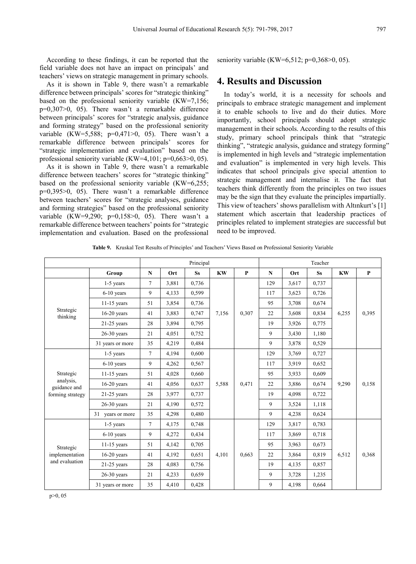According to these findings, it can be reported that the field variable does not have an impact on principals' and teachers' views on strategic management in primary schools.

As it is shown in Table 9, there wasn't a remarkable difference between principals' scores for "strategic thinking" based on the professional seniority variable (KW=7,156; p=0,307>0, 05). There wasn't a remarkable difference between principals' scores for "strategic analysis, guidance and forming strategy" based on the professional seniority variable (KW=5,588;  $p=0,471>0, 05$ ). There wasn't a remarkable difference between principals' scores for "strategic implementation and evaluation" based on the professional seniority variable (KW=4,101; p=0,663>0, 05).

As it is shown in Table 9, there wasn't a remarkable difference between teachers' scores for "strategic thinking" based on the professional seniority variable (KW=6,255; p=0,395>0, 05). There wasn't a remarkable difference between teachers' scores for "strategic analyses, guidance and forming strategies" based on the professional seniority variable  $(KW=9,290; p=0,158>0, 05)$ . There wasn't a remarkable difference between teachers' points for "strategic implementation and evaluation. Based on the professional seniority variable (KW=6,512; p=0,368>0, 05).

## **4. Results and Discussion**

In today's world, it is a necessity for schools and principals to embrace strategic management and implement it to enable schools to live and do their duties. More importantly, school principals should adopt strategic management in their schools. According to the results of this study, primary school principals think that "strategic thinking", "strategic analysis, guidance and strategy forming" is implemented in high levels and "strategic implementation and evaluation" is implemented in very high levels. This indicates that school principals give special attention to strategic management and internalise it. The fact that teachers think differently from the principles on two issues may be the sign that they evaluate the principles impartially. This view of teachers' shows parallelism with Altınkurt's [1] statement which ascertain that leadership practices of principles related to implement strategies are successful but need to be improved.

|                           |                  |                |       | Principal |           |              |             |       | Teacher   |           |              |
|---------------------------|------------------|----------------|-------|-----------|-----------|--------------|-------------|-------|-----------|-----------|--------------|
|                           | Group            | $\mathbf N$    | Ort   | <b>Ss</b> | <b>KW</b> | $\mathbf{P}$ | $\mathbf N$ | Ort   | <b>Ss</b> | <b>KW</b> | $\mathbf{P}$ |
|                           | 1-5 years        | $\tau$         | 3,881 | 0,736     |           |              | 129         | 3,617 | 0,737     |           |              |
|                           | $6-10$ years     | 9              | 4,133 | 0,599     |           |              | 117         | 3,623 | 0,726     |           |              |
|                           | $11-15$ years    | 51             | 3,854 | 0,736     |           | 0,307        | 95          | 3,708 | 0,674     | 6,255     |              |
| Strategic<br>thinking     | $16-20$ years    | 41             | 3,883 | 0,747     | 7,156     |              | 22          | 3,608 | 0,834     |           | 0,395        |
|                           | $21-25$ years    | 28             | 3,894 | 0.795     |           |              | 19          | 3,926 | 0,775     |           |              |
|                           | $26-30$ years    | 21             | 4,051 | 0,752     |           |              | 9           | 3,430 | 1,180     |           |              |
|                           | 31 years or more | 35             | 4,219 | 0,484     |           |              | 9           | 3,878 | 0,529     |           |              |
|                           | $1-5$ years      | $\overline{7}$ | 4,194 | 0,600     | 5,588     |              | 129         | 3,769 | 0,727     |           | 0,158        |
| Strategic                 | $6-10$ years     | 9              | 4,262 | 0,567     |           |              | 117         | 3,919 | 0,652     | 9,290     |              |
|                           | $11-15$ years    | 51             | 4,028 | 0,660     |           |              | 95          | 3,933 | 0,609     |           |              |
| analysis,<br>guidance and | $16-20$ years    | 41             | 4,056 | 0,637     |           | 0,471        | 22          | 3,886 | 0,674     |           |              |
| forming strategy          | $21-25$ years    | 28             | 3,977 | 0,737     |           |              | 19          | 4,098 | 0,722     |           |              |
|                           | $26-30$ years    | 21             | 4,190 | 0,572     |           |              | 9           | 3,524 | 1,118     |           |              |
|                           | 31 years or more | 35             | 4,298 | 0,480     |           |              | 9           | 4,238 | 0,624     |           |              |
|                           | 1-5 years        | $\tau$         | 4,175 | 0,748     |           |              | 129         | 3,817 | 0,783     |           |              |
|                           | $6-10$ years     | 9              | 4,272 | 0,434     |           |              | 117         | 3,869 | 0,718     |           |              |
| Strategic                 | $11-15$ years    | 51             | 4,142 | 0,705     |           |              | 95          | 3,963 | 0,673     | 6,512     |              |
| implementation            | $16-20$ years    | 41             | 4,192 | 0.651     | 4,101     | 0,663        | 22          | 3,864 | 0.819     |           | 0,368        |
| and evaluation            | $21-25$ years    | 28             | 4,083 | 0,756     |           |              | 19          | 4,135 | 0,857     |           |              |
|                           | $26-30$ years    | 21             | 4,233 | 0,659     |           |              | 9           | 3,728 | 1,235     |           |              |
|                           | 31 years or more | 35             | 4,410 | 0,428     |           |              | 9           | 4,198 | 0,664     |           |              |

**Table 9.** Kruskal Test Results of Principles' and Teachers' Views Based on Professional Seniority Variable

p>0, 05